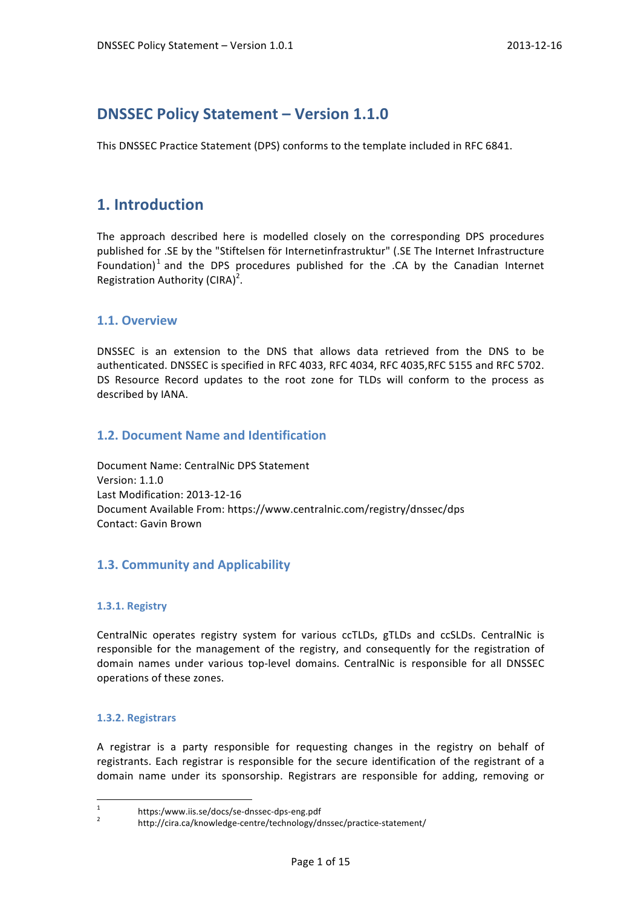# **DNSSEC Policy Statement – Version 1.1.0**

This DNSSEC Practice Statement (DPS) conforms to the template included in RFC 6841.

# **1. Introduction**

The approach described here is modelled closely on the corresponding DPS procedures published for .SE by the "Stiftelsen för Internetinfrastruktur" (.SE The Internet Infrastructure Foundation)<sup>1</sup> and the DPS procedures published for the .CA by the Canadian Internet Registration Authority (CIRA)<sup>2</sup>.

# **1.1. Overview**

DNSSEC is an extension to the DNS that allows data retrieved from the DNS to be authenticated. DNSSEC is specified in RFC 4033, RFC 4034, RFC 4035, RFC 5155 and RFC 5702. DS Resource Record updates to the root zone for TLDs will conform to the process as described by IANA.

# **1.2. Document Name and Identification**

Document Name: CentralNic DPS Statement Version: 1.1.0 Last Modification: 2013-12-16 Document Available From: https://www.centralnic.com/registry/dnssec/dps Contact: Gavin Brown

# **1.3. Community and Applicability**

### **1.3.1. Registry**

CentralNic operates registry system for various ccTLDs, gTLDs and ccSLDs. CentralNic is responsible for the management of the registry, and consequently for the registration of domain names under various top-level domains. CentralNic is responsible for all DNSSEC operations of these zones.

### **1.3.2. Registrars**

A registrar is a party responsible for requesting changes in the registry on behalf of registrants. Each registrar is responsible for the secure identification of the registrant of a domain name under its sponsorship. Registrars are responsible for adding, removing or

<sup>1</sup> https:/www.iis.se/docs/se-dnssec-dps-eng.pdf<br><sup>2</sup> http://cira.ca/knowledge-centre/technology/dnssec/practice-statement/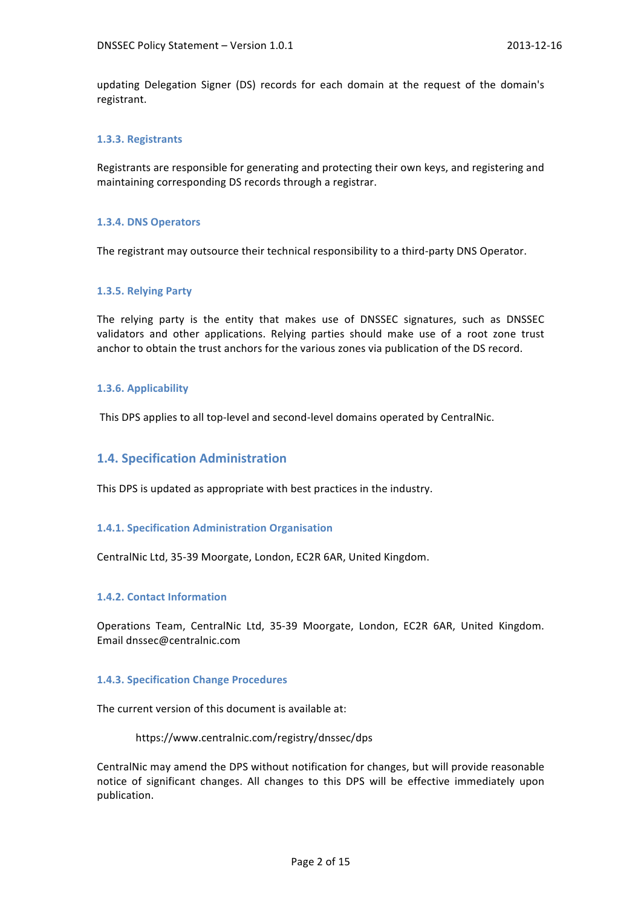updating Delegation Signer (DS) records for each domain at the request of the domain's registrant.

### **1.3.3. Registrants**

Registrants are responsible for generating and protecting their own keys, and registering and maintaining corresponding DS records through a registrar.

### **1.3.4. DNS Operators**

The registrant may outsource their technical responsibility to a third-party DNS Operator.

### **1.3.5. Relying Party**

The relying party is the entity that makes use of DNSSEC signatures, such as DNSSEC validators and other applications. Relying parties should make use of a root zone trust anchor to obtain the trust anchors for the various zones via publication of the DS record.

### **1.3.6. Applicability**

This DPS applies to all top-level and second-level domains operated by CentralNic.

## **1.4. Specification Administration**

This DPS is updated as appropriate with best practices in the industry.

### **1.4.1. Specification Administration Organisation**

CentralNic Ltd, 35-39 Moorgate, London, EC2R 6AR, United Kingdom.

### **1.4.2. Contact Information**

Operations Team, CentralNic Ltd, 35-39 Moorgate, London, EC2R 6AR, United Kingdom. Email dnssec@centralnic.com

### **1.4.3. Specification Change Procedures**

The current version of this document is available at:

https://www.centralnic.com/registry/dnssec/dps

CentralNic may amend the DPS without notification for changes, but will provide reasonable notice of significant changes. All changes to this DPS will be effective immediately upon publication.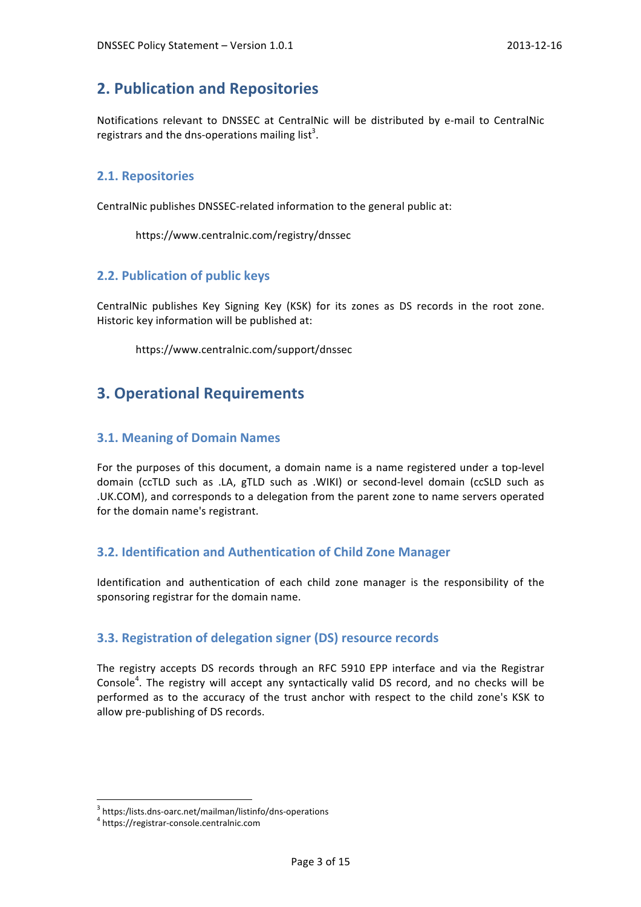# **2. Publication and Repositories**

Notifications relevant to DNSSEC at CentralNic will be distributed by e-mail to CentralNic registrars and the dns-operations mailing list<sup>3</sup>.

## **2.1. Repositories**

CentralNic publishes DNSSEC-related information to the general public at:

https://www.centralnic.com/registry/dnssec

# **2.2. Publication of public keys**

CentralNic publishes Key Signing Key (KSK) for its zones as DS records in the root zone. Historic key information will be published at:

https://www.centralnic.com/support/dnssec

# **3. Operational Requirements**

## **3.1. Meaning of Domain Names**

For the purposes of this document, a domain name is a name registered under a top-level domain (ccTLD such as .LA, gTLD such as .WIKI) or second-level domain (ccSLD such as .UK.COM), and corresponds to a delegation from the parent zone to name servers operated for the domain name's registrant.

## **3.2. Identification and Authentication of Child Zone Manager**

Identification and authentication of each child zone manager is the responsibility of the sponsoring registrar for the domain name.

# **3.3. Registration of delegation signer (DS) resource records**

The registry accepts DS records through an RFC 5910 EPP interface and via the Registrar Console<sup>4</sup>. The registry will accept any syntactically valid DS record, and no checks will be performed as to the accuracy of the trust anchor with respect to the child zone's KSK to allow pre-publishing of DS records.

 $3$  https:/lists.dns-oarc.net/mailman/listinfo/dns-operations<br> $4$  https://registrar-console.centralnic.com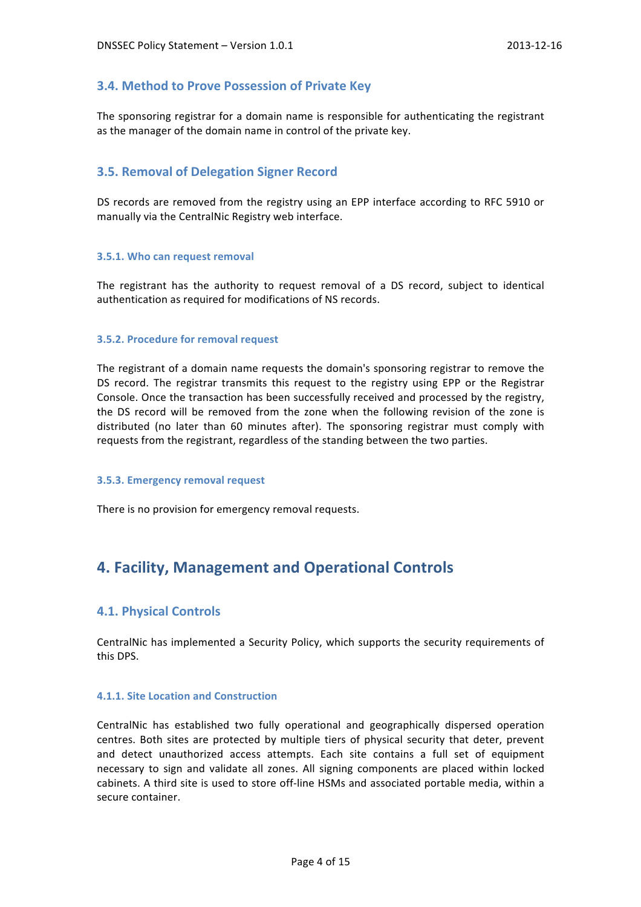## **3.4. Method to Prove Possession of Private Key**

The sponsoring registrar for a domain name is responsible for authenticating the registrant as the manager of the domain name in control of the private key.

### **3.5. Removal of Delegation Signer Record**

DS records are removed from the registry using an EPP interface according to RFC 5910 or manually via the CentralNic Registry web interface.

### **3.5.1. Who can request removal**

The registrant has the authority to request removal of a DS record, subject to identical authentication as required for modifications of NS records.

### **3.5.2. Procedure for removal request**

The registrant of a domain name requests the domain's sponsoring registrar to remove the DS record. The registrar transmits this request to the registry using EPP or the Registrar Console. Once the transaction has been successfully received and processed by the registry, the DS record will be removed from the zone when the following revision of the zone is distributed (no later than 60 minutes after). The sponsoring registrar must comply with requests from the registrant, regardless of the standing between the two parties.

### **3.5.3. Emergency removal request**

There is no provision for emergency removal requests.

# **4. Facility, Management and Operational Controls**

### **4.1. Physical Controls**

CentralNic has implemented a Security Policy, which supports the security requirements of this DPS.

### **4.1.1. Site Location and Construction**

CentralNic has established two fully operational and geographically dispersed operation centres. Both sites are protected by multiple tiers of physical security that deter, prevent and detect unauthorized access attempts. Each site contains a full set of equipment necessary to sign and validate all zones. All signing components are placed within locked cabinets. A third site is used to store off-line HSMs and associated portable media, within a secure container.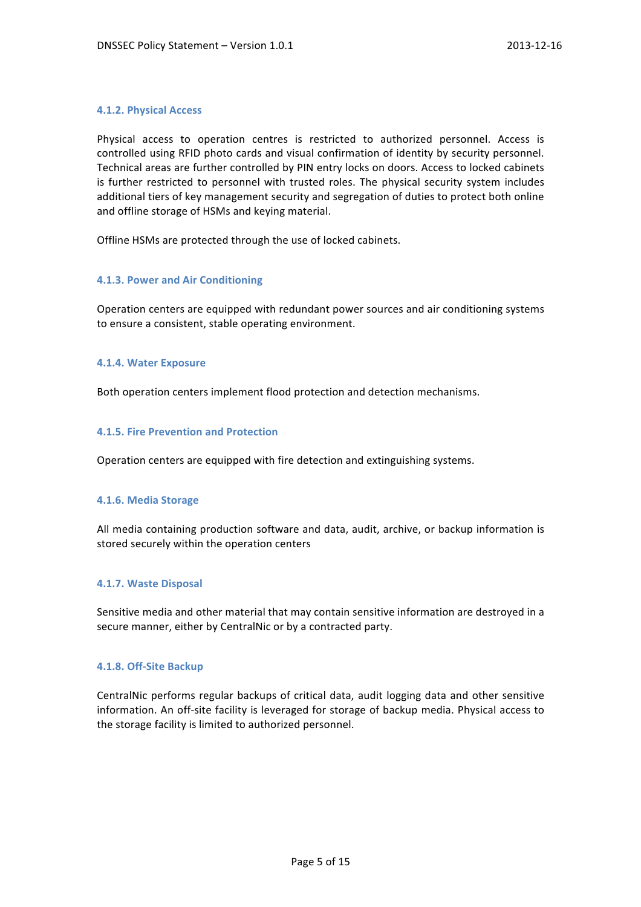### **4.1.2. Physical Access**

Physical access to operation centres is restricted to authorized personnel. Access is controlled using RFID photo cards and visual confirmation of identity by security personnel. Technical areas are further controlled by PIN entry locks on doors. Access to locked cabinets is further restricted to personnel with trusted roles. The physical security system includes additional tiers of key management security and segregation of duties to protect both online and offline storage of HSMs and keying material.

Offline HSMs are protected through the use of locked cabinets.

### **4.1.3. Power and Air Conditioning**

Operation centers are equipped with redundant power sources and air conditioning systems to ensure a consistent, stable operating environment.

#### **4.1.4. Water Exposure**

Both operation centers implement flood protection and detection mechanisms.

### **4.1.5. Fire Prevention and Protection**

Operation centers are equipped with fire detection and extinguishing systems.

### **4.1.6. Media Storage**

All media containing production software and data, audit, archive, or backup information is stored securely within the operation centers

### **4.1.7. Waste Disposal**

Sensitive media and other material that may contain sensitive information are destroyed in a secure manner, either by CentralNic or by a contracted party.

### **4.1.8. Off-Site Backup**

CentralNic performs regular backups of critical data, audit logging data and other sensitive information. An off-site facility is leveraged for storage of backup media. Physical access to the storage facility is limited to authorized personnel.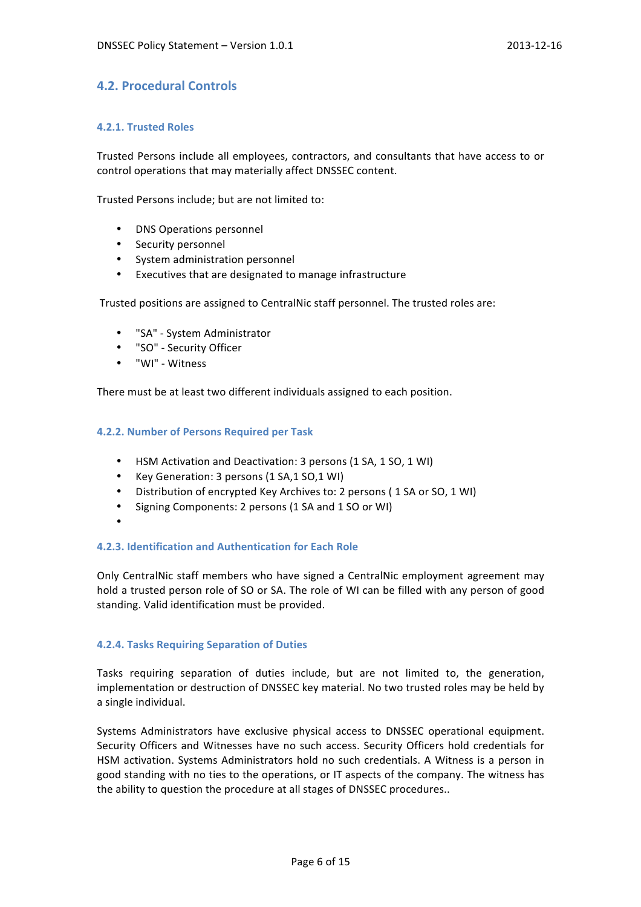# **4.2. Procedural Controls**

### **4.2.1. Trusted Roles**

Trusted Persons include all employees, contractors, and consultants that have access to or control operations that may materially affect DNSSEC content.

Trusted Persons include; but are not limited to:

- DNS Operations personnel
- Security personnel
- System administration personnel
- Executives that are designated to manage infrastructure

Trusted positions are assigned to CentralNic staff personnel. The trusted roles are:

- "SA" System Administrator
- "SO" - Security Officer
- "WI" Witness

There must be at least two different individuals assigned to each position.

### **4.2.2. Number of Persons Required per Task**

- HSM Activation and Deactivation: 3 persons (1 SA, 1 SO, 1 WI)
- Key Generation: 3 persons (1 SA,1 SO,1 WI)
- Distribution of encrypted Key Archives to: 2 persons (1 SA or SO, 1 WI)
- Signing Components: 2 persons (1 SA and 1 SO or WI)
- •

### **4.2.3. Identification and Authentication for Each Role**

Only CentralNic staff members who have signed a CentralNic employment agreement may hold a trusted person role of SO or SA. The role of WI can be filled with any person of good standing. Valid identification must be provided.

### **4.2.4. Tasks Requiring Separation of Duties**

Tasks requiring separation of duties include, but are not limited to, the generation, implementation or destruction of DNSSEC key material. No two trusted roles may be held by a single individual.

Systems Administrators have exclusive physical access to DNSSEC operational equipment. Security Officers and Witnesses have no such access. Security Officers hold credentials for HSM activation. Systems Administrators hold no such credentials. A Witness is a person in good standing with no ties to the operations, or IT aspects of the company. The witness has the ability to question the procedure at all stages of DNSSEC procedures..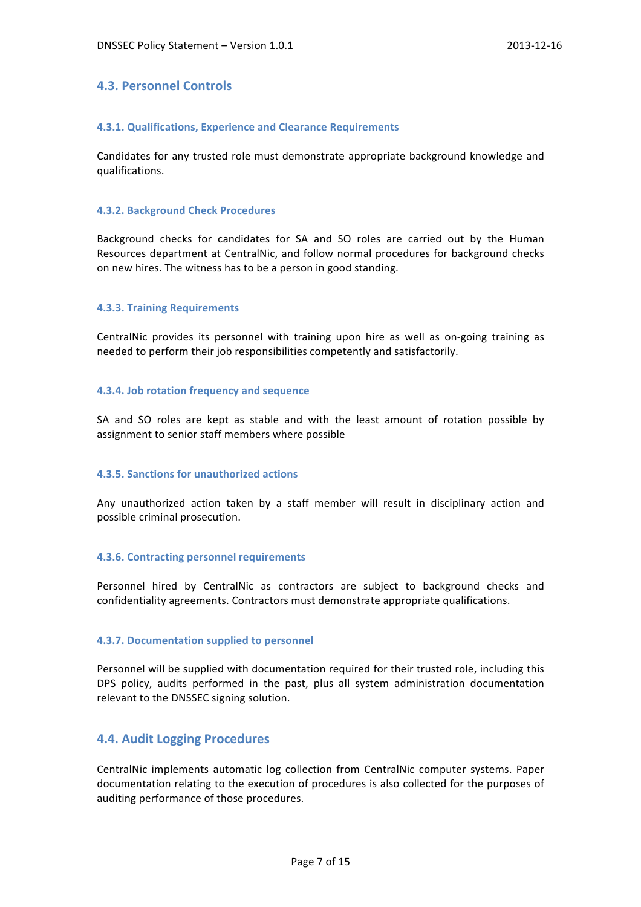## **4.3. Personnel Controls**

### **4.3.1. Qualifications, Experience and Clearance Requirements**

Candidates for any trusted role must demonstrate appropriate background knowledge and qualifications.

### **4.3.2. Background Check Procedures**

Background checks for candidates for SA and SO roles are carried out by the Human Resources department at CentralNic, and follow normal procedures for background checks on new hires. The witness has to be a person in good standing.

### **4.3.3. Training Requirements**

CentralNic provides its personnel with training upon hire as well as on-going training as needed to perform their job responsibilities competently and satisfactorily.

### **4.3.4. Job rotation frequency and sequence**

SA and SO roles are kept as stable and with the least amount of rotation possible by assignment to senior staff members where possible

### **4.3.5. Sanctions for unauthorized actions**

Any unauthorized action taken by a staff member will result in disciplinary action and possible criminal prosecution.

### **4.3.6. Contracting personnel requirements**

Personnel hired by CentralNic as contractors are subject to background checks and confidentiality agreements. Contractors must demonstrate appropriate qualifications.

### **4.3.7. Documentation supplied to personnel**

Personnel will be supplied with documentation required for their trusted role, including this DPS policy, audits performed in the past, plus all system administration documentation relevant to the DNSSEC signing solution.

## **4.4. Audit Logging Procedures**

CentralNic implements automatic log collection from CentralNic computer systems. Paper documentation relating to the execution of procedures is also collected for the purposes of auditing performance of those procedures.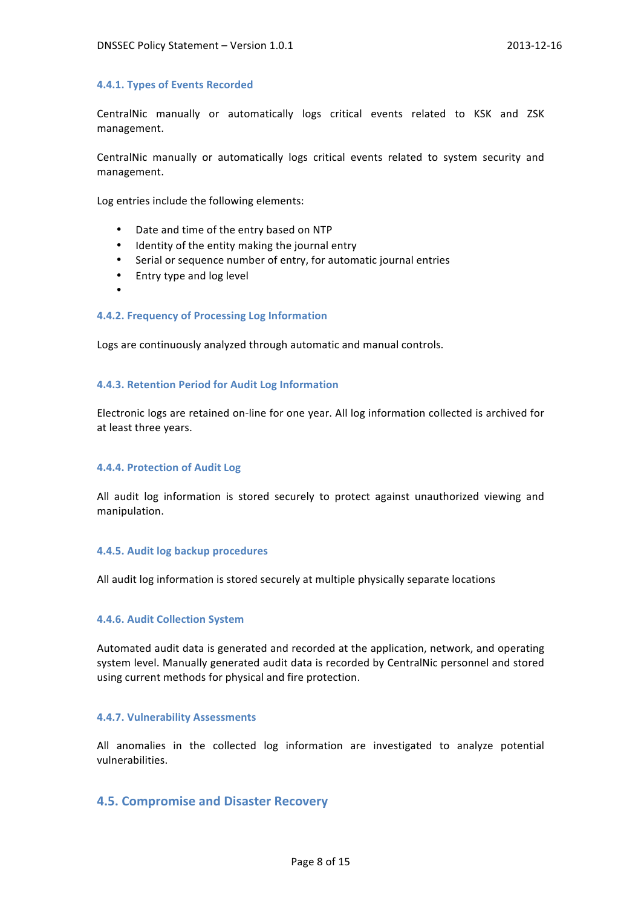### **4.4.1. Types of Events Recorded**

CentralNic manually or automatically logs critical events related to KSK and ZSK management.

CentralNic manually or automatically logs critical events related to system security and management.

Log entries include the following elements:

- Date and time of the entry based on NTP
- Identity of the entity making the journal entry
- Serial or sequence number of entry, for automatic journal entries
- Entry type and log level
- •

### **4.4.2. Frequency of Processing Log Information**

Logs are continuously analyzed through automatic and manual controls.

#### **4.4.3. Retention Period for Audit Log Information**

Electronic logs are retained on-line for one year. All log information collected is archived for at least three years.

### **4.4.4. Protection of Audit Log**

All audit log information is stored securely to protect against unauthorized viewing and manipulation.

### **4.4.5. Audit log backup procedures**

All audit log information is stored securely at multiple physically separate locations

### **4.4.6. Audit Collection System**

Automated audit data is generated and recorded at the application, network, and operating system level. Manually generated audit data is recorded by CentralNic personnel and stored using current methods for physical and fire protection.

### **4.4.7. Vulnerability Assessments**

All anomalies in the collected log information are investigated to analyze potential vulnerabilities.

## **4.5. Compromise and Disaster Recovery**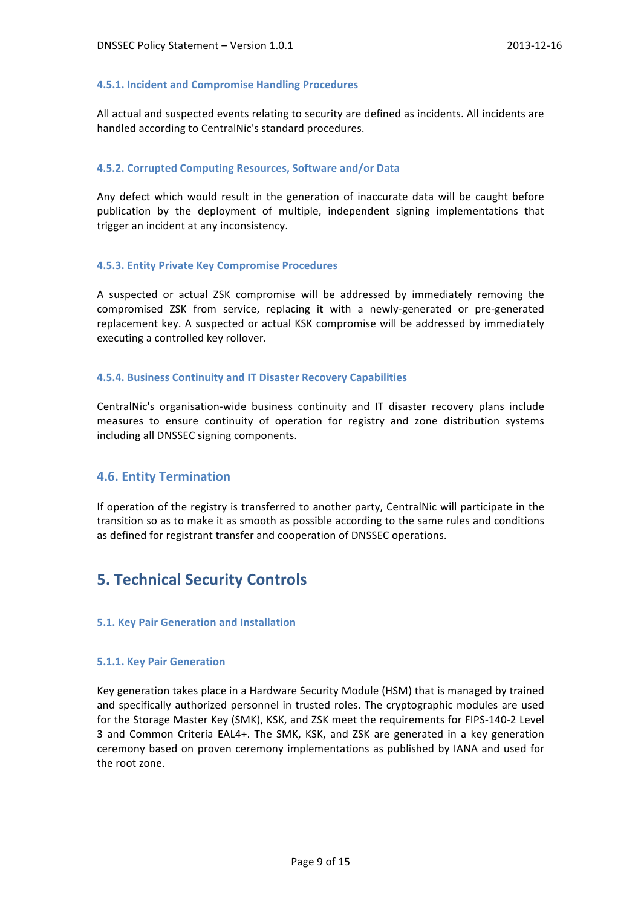### **4.5.1. Incident and Compromise Handling Procedures**

All actual and suspected events relating to security are defined as incidents. All incidents are handled according to CentralNic's standard procedures.

### **4.5.2. Corrupted Computing Resources, Software and/or Data**

Any defect which would result in the generation of inaccurate data will be caught before publication by the deployment of multiple, independent signing implementations that trigger an incident at any inconsistency.

### **4.5.3. Entity Private Key Compromise Procedures**

A suspected or actual ZSK compromise will be addressed by immediately removing the compromised ZSK from service, replacing it with a newly-generated or pre-generated replacement key. A suspected or actual KSK compromise will be addressed by immediately executing a controlled key rollover.

### **4.5.4. Business Continuity and IT Disaster Recovery Capabilities**

CentralNic's organisation-wide business continuity and IT disaster recovery plans include measures to ensure continuity of operation for registry and zone distribution systems including all DNSSEC signing components.

## **4.6. Entity Termination**

If operation of the registry is transferred to another party, CentralNic will participate in the transition so as to make it as smooth as possible according to the same rules and conditions as defined for registrant transfer and cooperation of DNSSEC operations.

# **5. Technical Security Controls**

### **5.1. Key Pair Generation and Installation**

### **5.1.1. Key Pair Generation**

Key generation takes place in a Hardware Security Module (HSM) that is managed by trained and specifically authorized personnel in trusted roles. The cryptographic modules are used for the Storage Master Key (SMK), KSK, and ZSK meet the requirements for FIPS-140-2 Level 3 and Common Criteria EAL4+. The SMK, KSK, and ZSK are generated in a key generation ceremony based on proven ceremony implementations as published by IANA and used for the root zone.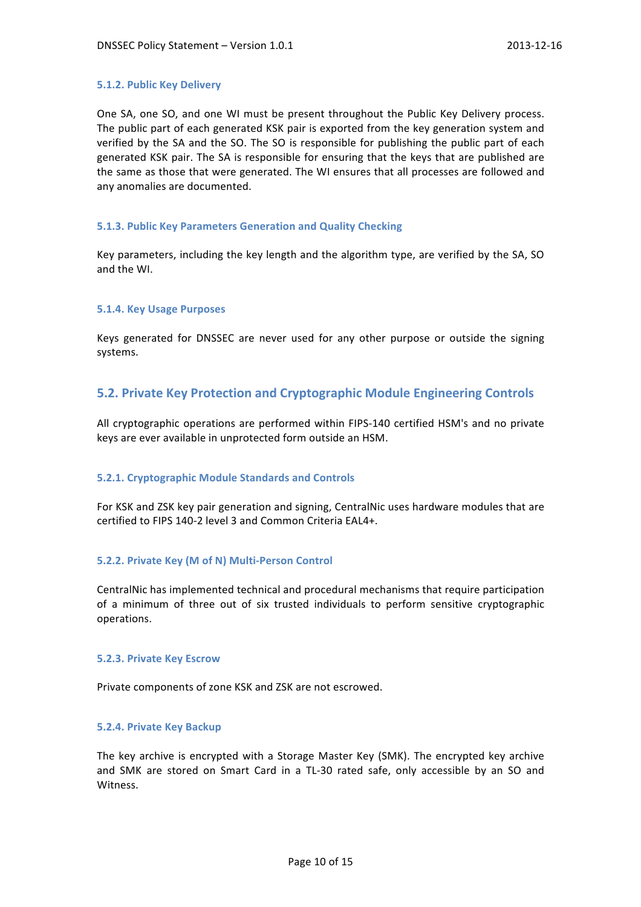### **5.1.2. Public Key Delivery**

One SA, one SO, and one WI must be present throughout the Public Key Delivery process. The public part of each generated KSK pair is exported from the key generation system and verified by the SA and the SO. The SO is responsible for publishing the public part of each generated KSK pair. The SA is responsible for ensuring that the keys that are published are the same as those that were generated. The WI ensures that all processes are followed and any anomalies are documented.

### **5.1.3. Public Key Parameters Generation and Quality Checking**

Key parameters, including the key length and the algorithm type, are verified by the SA, SO and the WI.

### **5.1.4. Key Usage Purposes**

Keys generated for DNSSEC are never used for any other purpose or outside the signing systems.

## **5.2. Private Key Protection and Cryptographic Module Engineering Controls**

All cryptographic operations are performed within FIPS-140 certified HSM's and no private keys are ever available in unprotected form outside an HSM.

### **5.2.1. Cryptographic Module Standards and Controls**

For KSK and ZSK key pair generation and signing, CentralNic uses hardware modules that are certified to FIPS 140-2 level 3 and Common Criteria EAL4+.

### **5.2.2. Private Key (M of N) Multi-Person Control**

CentralNic has implemented technical and procedural mechanisms that require participation of a minimum of three out of six trusted individuals to perform sensitive cryptographic operations.

### **5.2.3. Private Key Escrow**

Private components of zone KSK and ZSK are not escrowed.

### **5.2.4. Private Key Backup**

The key archive is encrypted with a Storage Master Key (SMK). The encrypted key archive and SMK are stored on Smart Card in a TL-30 rated safe, only accessible by an SO and Witness.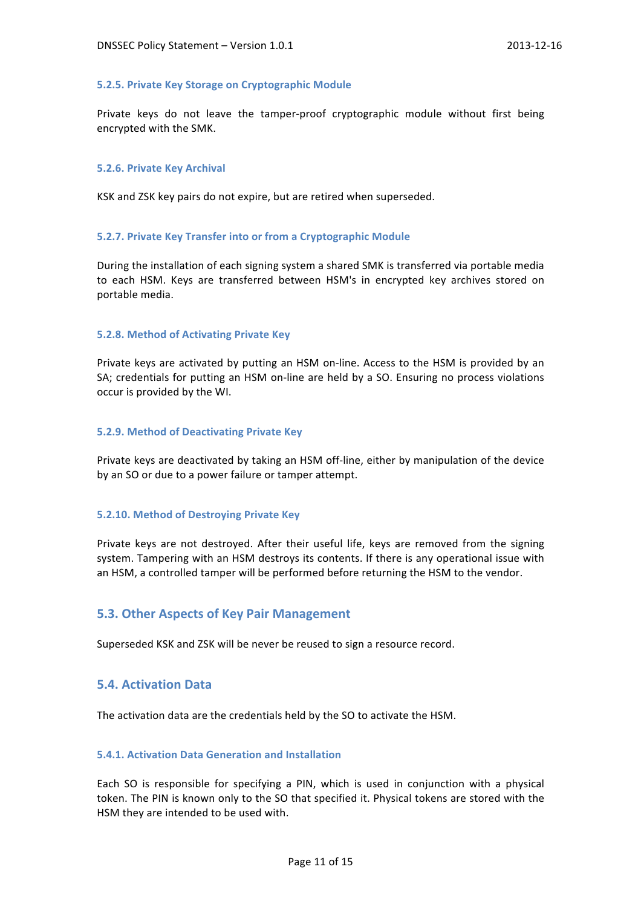### **5.2.5. Private Key Storage on Cryptographic Module**

Private keys do not leave the tamper-proof cryptographic module without first being encrypted with the SMK.

### **5.2.6. Private Key Archival**

KSK and ZSK key pairs do not expire, but are retired when superseded.

### **5.2.7. Private Key Transfer into or from a Cryptographic Module**

During the installation of each signing system a shared SMK is transferred via portable media to each HSM. Keys are transferred between HSM's in encrypted key archives stored on portable media.

### **5.2.8. Method of Activating Private Key**

Private keys are activated by putting an HSM on-line. Access to the HSM is provided by an SA; credentials for putting an HSM on-line are held by a SO. Ensuring no process violations occur is provided by the WI.

### **5.2.9. Method of Deactivating Private Key**

Private keys are deactivated by taking an HSM off-line, either by manipulation of the device by an SO or due to a power failure or tamper attempt.

### **5.2.10. Method of Destroying Private Key**

Private keys are not destroyed. After their useful life, keys are removed from the signing system. Tampering with an HSM destroys its contents. If there is any operational issue with an HSM, a controlled tamper will be performed before returning the HSM to the vendor.

### **5.3. Other Aspects of Key Pair Management**

Superseded KSK and ZSK will be never be reused to sign a resource record.

### **5.4. Activation Data**

The activation data are the credentials held by the SO to activate the HSM.

### **5.4.1. Activation Data Generation and Installation**

Each SO is responsible for specifying a PIN, which is used in conjunction with a physical token. The PIN is known only to the SO that specified it. Physical tokens are stored with the HSM they are intended to be used with.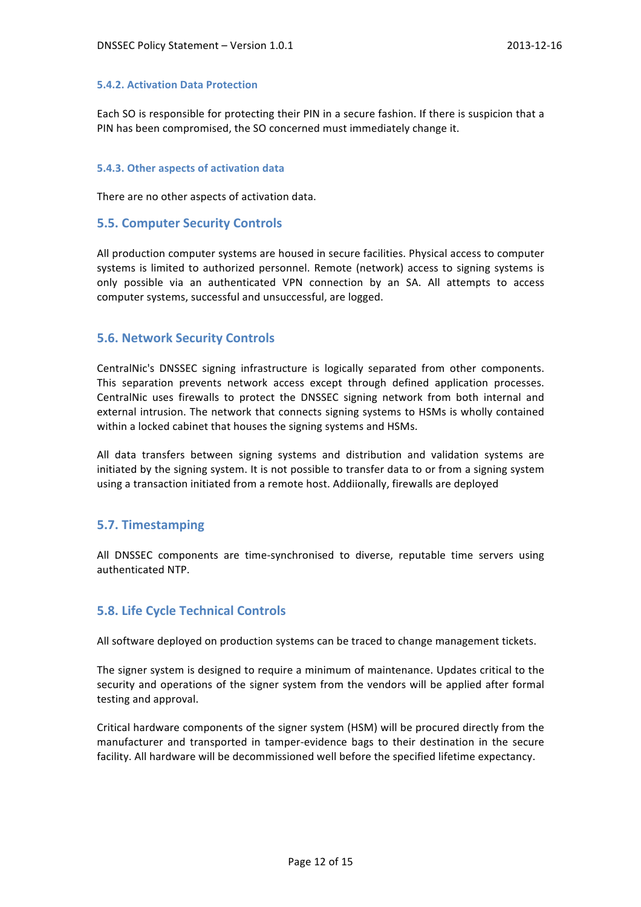### **5.4.2. Activation Data Protection**

Each SO is responsible for protecting their PIN in a secure fashion. If there is suspicion that a PIN has been compromised, the SO concerned must immediately change it.

### **5.4.3. Other aspects of activation data**

There are no other aspects of activation data.

### **5.5. Computer Security Controls**

All production computer systems are housed in secure facilities. Physical access to computer systems is limited to authorized personnel. Remote (network) access to signing systems is only possible via an authenticated VPN connection by an SA. All attempts to access computer systems, successful and unsuccessful, are logged.

## **5.6. Network Security Controls**

CentralNic's DNSSEC signing infrastructure is logically separated from other components. This separation prevents network access except through defined application processes. CentralNic uses firewalls to protect the DNSSEC signing network from both internal and external intrusion. The network that connects signing systems to HSMs is wholly contained within a locked cabinet that houses the signing systems and HSMs.

All data transfers between signing systems and distribution and validation systems are initiated by the signing system. It is not possible to transfer data to or from a signing system using a transaction initiated from a remote host. Addiionally, firewalls are deployed

### **5.7. Timestamping**

All DNSSEC components are time-synchronised to diverse, reputable time servers using authenticated NTP.

## **5.8. Life Cycle Technical Controls**

All software deployed on production systems can be traced to change management tickets.

The signer system is designed to require a minimum of maintenance. Updates critical to the security and operations of the signer system from the vendors will be applied after formal testing and approval.

Critical hardware components of the signer system (HSM) will be procured directly from the manufacturer and transported in tamper-evidence bags to their destination in the secure facility. All hardware will be decommissioned well before the specified lifetime expectancy.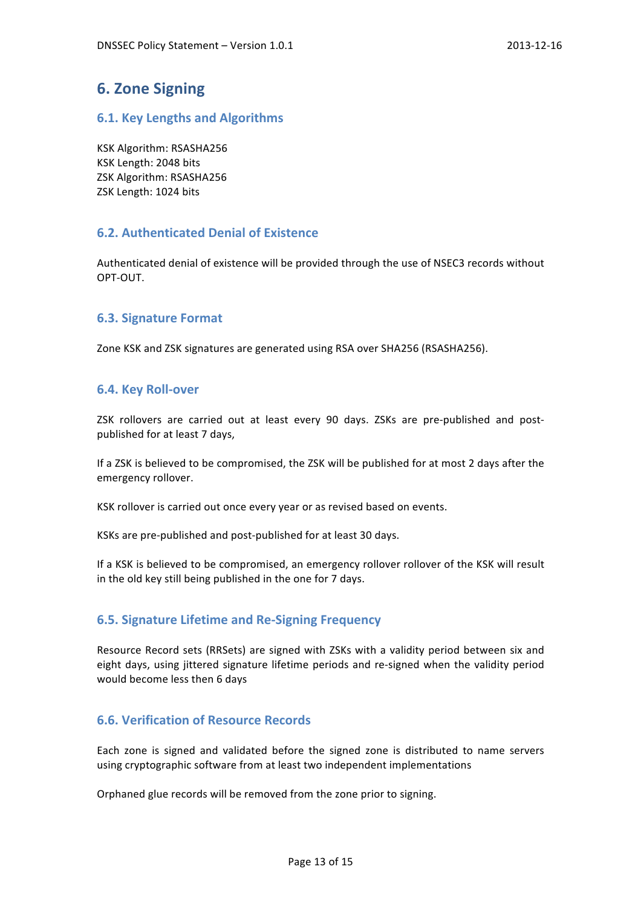# **6. Zone Signing**

## **6.1. Key Lengths and Algorithms**

KSK Algorithm: RSASHA256 KSK Length: 2048 bits ZSK Algorithm: RSASHA256 ZSK Length: 1024 bits

# **6.2. Authenticated Denial of Existence**

Authenticated denial of existence will be provided through the use of NSEC3 records without OPT-OUT.

# **6.3. Signature Format**

Zone KSK and ZSK signatures are generated using RSA over SHA256 (RSASHA256).

# **6.4. Key Roll-over**

ZSK rollovers are carried out at least every 90 days. ZSKs are pre-published and postpublished for at least 7 days,

If a ZSK is believed to be compromised, the ZSK will be published for at most 2 days after the emergency rollover.

KSK rollover is carried out once every year or as revised based on events.

KSKs are pre-published and post-published for at least 30 days.

If a KSK is believed to be compromised, an emergency rollover rollover of the KSK will result in the old key still being published in the one for 7 days.

## **6.5. Signature Lifetime and Re-Signing Frequency**

Resource Record sets (RRSets) are signed with ZSKs with a validity period between six and eight days, using jittered signature lifetime periods and re-signed when the validity period would become less then 6 days

## **6.6. Verification of Resource Records**

Each zone is signed and validated before the signed zone is distributed to name servers using cryptographic software from at least two independent implementations

Orphaned glue records will be removed from the zone prior to signing.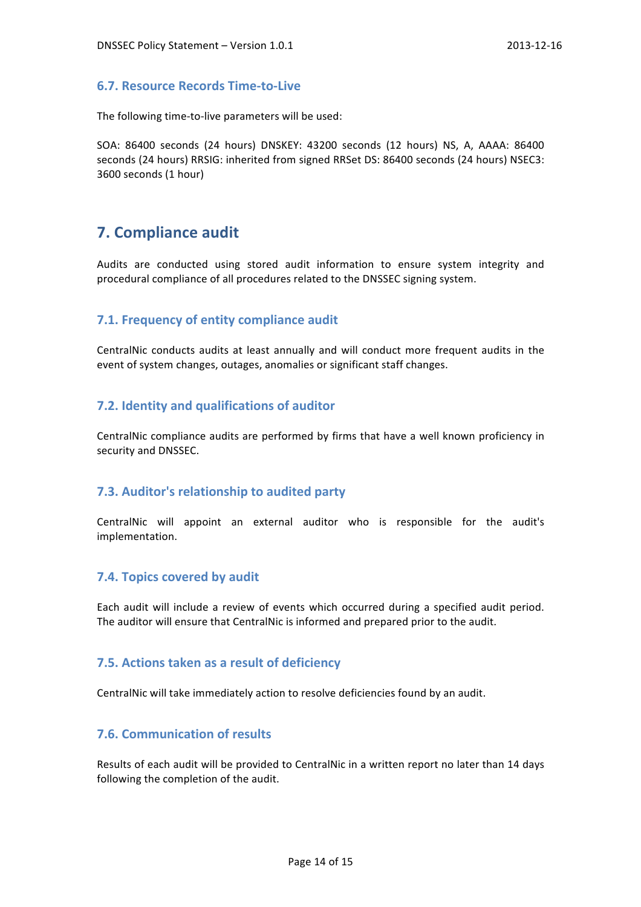### **6.7. Resource Records Time-to-Live**

The following time-to-live parameters will be used:

SOA: 86400 seconds (24 hours) DNSKEY: 43200 seconds (12 hours) NS, A, AAAA: 86400 seconds (24 hours) RRSIG: inherited from signed RRSet DS: 86400 seconds (24 hours) NSEC3: 3600 seconds (1 hour)

# **7. Compliance audit**

Audits are conducted using stored audit information to ensure system integrity and procedural compliance of all procedures related to the DNSSEC signing system.

## **7.1. Frequency of entity compliance audit**

CentralNic conducts audits at least annually and will conduct more frequent audits in the event of system changes, outages, anomalies or significant staff changes.

## **7.2. Identity and qualifications of auditor**

CentralNic compliance audits are performed by firms that have a well known proficiency in security and DNSSEC.

## **7.3. Auditor's relationship to audited party**

CentralNic will appoint an external auditor who is responsible for the audit's implementation.

### **7.4. Topics covered by audit**

Each audit will include a review of events which occurred during a specified audit period. The auditor will ensure that CentralNic is informed and prepared prior to the audit.

### **7.5. Actions taken as a result of deficiency**

CentralNic will take immediately action to resolve deficiencies found by an audit.

# **7.6. Communication of results**

Results of each audit will be provided to CentralNic in a written report no later than 14 days following the completion of the audit.